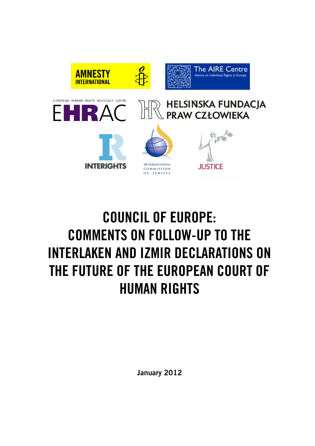

# **COUNCIL OF EUROPE: COMMENTS ON FOLLOW-UP TO THE INTERLAKEN AND IZMIR DECLARATIONS ON THE FUTURE OF THE EUROPEAN COURT OF HUMAN RIGHTS**

**January 2012**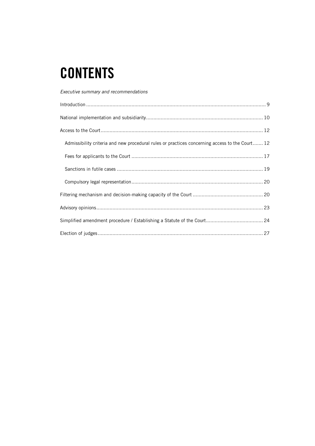# **CONTENTS**

| Executive summary and recommendations                                                          |
|------------------------------------------------------------------------------------------------|
|                                                                                                |
|                                                                                                |
|                                                                                                |
| Admissibility criteria and new procedural rules or practices concerning access to the Court 12 |
|                                                                                                |
|                                                                                                |
|                                                                                                |
|                                                                                                |
|                                                                                                |
|                                                                                                |
|                                                                                                |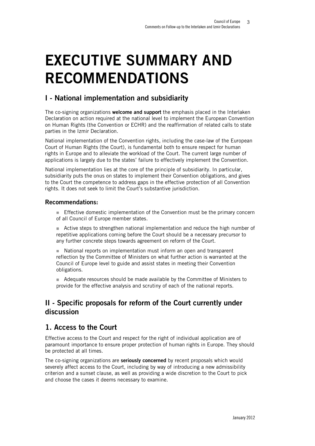# **EXECUTIVE SUMMARY AND RECOMMENDATIONS**

## **I - National implementation and subsidiarity**

The co-signing organizations **welcome and support** the emphasis placed in the Interlaken Declaration on action required at the national level to implement the European Convention on Human Rights (the Convention or ECHR) and the reaffirmation of related calls to state parties in the Izmir Declaration.

National implementation of the Convention rights, including the case-law of the European Court of Human Rights (the Court), is fundamental both to ensure respect for human rights in Europe and to alleviate the workload of the Court. The current large number of applications is largely due to the states' failure to effectively implement the Convention.

National implementation lies at the core of the principle of subsidiarity. In particular, subsidiarity puts the onus on states to implement their Convention obligations, and gives to the Court the competence to address gaps in the effective protection of all Convention rights. It does not seek to limit the Court's substantive jurisdiction.

#### **Recommendations:**

 Effective domestic implementation of the Convention must be the primary concern of all Council of Europe member states.

 Active steps to strengthen national implementation and reduce the high number of repetitive applications coming before the Court should be a necessary precursor to any further concrete steps towards agreement on reform of the Court.

■ National reports on implementation must inform an open and transparent reflection by the Committee of Ministers on what further action is warranted at the Council of Europe level to guide and assist states in meeting their Convention obligations.

 Adequate resources should be made available by the Committee of Ministers to provide for the effective analysis and scrutiny of each of the national reports.

## **II - Specific proposals for reform of the Court currently under discussion**

## **1. Access to the Court**

Effective access to the Court and respect for the right of individual application are of paramount importance to ensure proper protection of human rights in Europe. They should be protected at all times.

The co-signing organizations are **seriously concerned** by recent proposals which would severely affect access to the Court, including by way of introducing a new admissibility criterion and a sunset clause, as well as providing a wide discretion to the Court to pick and choose the cases it deems necessary to examine.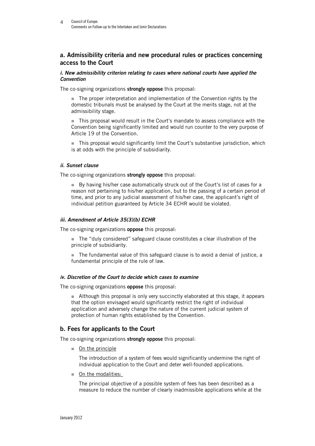### **a. Admissibility criteria and new procedural rules or practices concerning access to the Court**

#### *i. New admissibility criterion relating to cases where national courts have applied the Convention*

The co-signing organizations **strongly oppose** this proposal:

- The proper interpretation and implementation of the Convention rights by the domestic tribunals must be analysed by the Court at the merits stage, not at the admissibility stage.
- This proposal would result in the Court's mandate to assess compliance with the Convention being significantly limited and would run counter to the very purpose of Article 19 of the Convention.
- This proposal would significantly limit the Court's substantive jurisdiction, which is at odds with the principle of subsidiarity.

#### *ii. Sunset clause*

The co-signing organizations **strongly oppose** this proposal:

 $\blacksquare$  By having his/her case automatically struck out of the Court's list of cases for a reason not pertaining to his/her application, but to the passing of a certain period of time, and prior to any judicial assessment of his/her case, the applicant's right of individual petition guaranteed by Article 34 ECHR would be violated.

#### *iii. Amendment of Article 35(3)(b) ECHR*

The co-signing organizations **oppose** this proposal:

- The "duly considered" safeguard clause constitutes a clear illustration of the principle of subsidiarity.
- The fundamental value of this safeguard clause is to avoid a denial of justice, a fundamental principle of the rule of law.

#### *iv. Discretion of the Court to decide which cases to examine*

The co-signing organizations **oppose** this proposal:

Although this proposal is only very succinctly elaborated at this stage, it appears that the option envisaged would significantly restrict the right of individual application and adversely change the nature of the current judicial system of protection of human rights established by the Convention.

### **b. Fees for applicants to the Court**

The co-signing organizations **strongly oppose** this proposal:

■ On the principle

The introduction of a system of fees would significantly undermine the right of individual application to the Court and deter well-founded applications.

■ On the modalities:

The principal objective of a possible system of fees has been described as a measure to reduce the number of clearly inadmissible applications while at the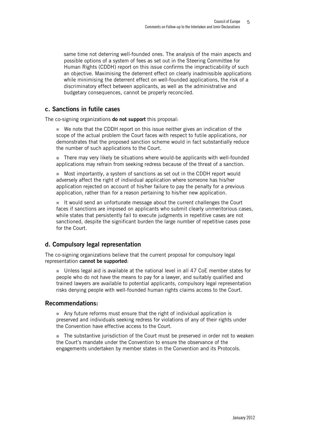same time not deterring well-founded ones. The analysis of the main aspects and possible options of a system of fees as set out in the Steering Committee for Human Rights (CDDH) report on this issue confirms the impracticability of such an objective. Maximising the deterrent effect on clearly inadmissible applications while minimising the deterrent effect on well-founded applications, the risk of a discriminatory effect between applicants, as well as the administrative and budgetary consequences, cannot be properly reconciled.

#### **c. Sanctions in futile cases**

The co-signing organizations **do not support** this proposal:

 We note that the CDDH report on this issue neither gives an indication of the scope of the actual problem the Court faces with respect to futile applications, nor demonstrates that the proposed sanction scheme would in fact substantially reduce the number of such applications to the Court.

 There may very likely be situations where would-be applicants with well-founded applications may refrain from seeking redress because of the threat of a sanction.

 Most importantly, a system of sanctions as set out in the CDDH report would adversely affect the right of individual application where someone has his/her application rejected on account of his/her failure to pay the penalty for a previous application, rather than for a reason pertaining to his/her new application.

It would send an unfortunate message about the current challenges the Court faces if sanctions are imposed on applicants who submit clearly unmeritorious cases, while states that persistently fail to execute judgments in repetitive cases are not sanctioned, despite the significant burden the large number of repetitive cases pose for the Court.

#### **d. Compulsory legal representation**

The co-signing organizations believe that the current proposal for compulsory legal representation **cannot be supported**:

 Unless legal aid is available at the national level in all 47 CoE member states for people who do not have the means to pay for a lawyer, and suitably qualified and trained lawyers are available to potential applicants, compulsory legal representation risks denying people with well-founded human rights claims access to the Court.

#### **Recommendations:**

 Any future reforms must ensure that the right of individual application is preserved and individuals seeking redress for violations of any of their rights under the Convention have effective access to the Court.

The substantive jurisdiction of the Court must be preserved in order not to weaken the Court's mandate under the Convention to ensure the observance of the engagements undertaken by member states in the Convention and its Protocols.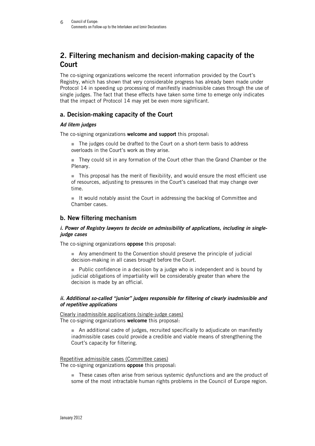## **2. Filtering mechanism and decision-making capacity of the Court**

The co-signing organizations welcome the recent information provided by the Court's Registry, which has shown that very considerable progress has already been made under Protocol 14 in speeding up processing of manifestly inadmissible cases through the use of single judges. The fact that these effects have taken some time to emerge only indicates that the impact of Protocol 14 may yet be even more significant.

### **a. Decision-making capacity of the Court**

#### *Ad litem judges*

The co-signing organizations **welcome and support** this proposal:

The judges could be drafted to the Court on a short-term basis to address overloads in the Court's work as they arise.

 They could sit in any formation of the Court other than the Grand Chamber or the Plenary.

This proposal has the merit of flexibility, and would ensure the most efficient use of resources, adjusting to pressures in the Court's caseload that may change over time.

It would notably assist the Court in addressing the backlog of Committee and Chamber cases.

### **b. New filtering mechanism**

#### *i. Power of Registry lawyers to decide on admissibility of applications, including in singlejudge cases*

The co-signing organizations **oppose** this proposal:

 Any amendment to the Convention should preserve the principle of judicial decision-making in all cases brought before the Court.

 Public confidence in a decision by a judge who is independent and is bound by judicial obligations of impartiality will be considerably greater than where the decision is made by an official.

#### *ii. Additional so-called "junior" judges responsible for filtering of clearly inadmissible and of repetitive applications*

Clearly inadmissible applications (single-judge cases) The co-signing organizations **welcome** this proposal:

 An additional cadre of judges, recruited specifically to adjudicate on manifestly inadmissible cases could provide a credible and viable means of strengthening the Court's capacity for filtering.

Repetitive admissible cases (Committee cases) The co-signing organizations **oppose** this proposal:

These cases often arise from serious systemic dysfunctions and are the product of some of the most intractable human rights problems in the Council of Europe region.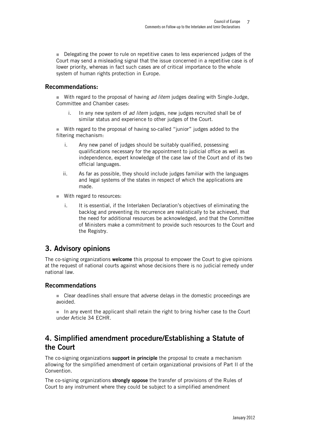Delegating the power to rule on repetitive cases to less experienced judges of the Court may send a misleading signal that the issue concerned in a repetitive case is of lower priority, whereas in fact such cases are of critical importance to the whole system of human rights protection in Europe.

#### **Recommendations:**

 With regard to the proposal of having *ad litem* judges dealing with Single-Judge, Committee and Chamber cases:

i. In any new system of *ad litem* judges, new judges recruited shall be of similar status and experience to other judges of the Court.

■ With regard to the proposal of having so-called "junior" judges added to the filtering mechanism:

- i. Any new panel of judges should be suitably qualified, possessing qualifications necessary for the appointment to judicial office as well as independence, expert knowledge of the case law of the Court and of its two official languages.
- ii. As far as possible, they should include judges familiar with the languages and legal systems of the states in respect of which the applications are made.
- With regard to resources:
	- i. It is essential, if the Interlaken Declaration's objectives of eliminating the backlog and preventing its recurrence are realistically to be achieved, that the need for additional resources be acknowledged, and that the Committee of Ministers make a commitment to provide such resources to the Court and the Registry.

### **3. Advisory opinions**

The co-signing organizations **welcome** this proposal to empower the Court to give opinions at the request of national courts against whose decisions there is no judicial remedy under national law.

#### **Recommendations**

- Clear deadlines shall ensure that adverse delays in the domestic proceedings are avoided.
- In any event the applicant shall retain the right to bring his/her case to the Court under Article 34 ECHR.

## **4. Simplified amendment procedure/Establishing a Statute of the Court**

The co-signing organizations **support in principle** the proposal to create a mechanism allowing for the simplified amendment of certain organizational provisions of Part II of the Convention.

The co-signing organizations **strongly oppose** the transfer of provisions of the Rules of Court to any instrument where they could be subject to a simplified amendment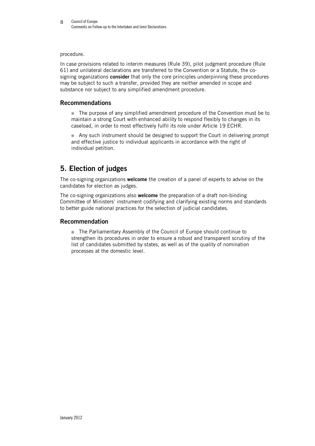procedure.

In case provisions related to interim measures (Rule 39), pilot judgment procedure (Rule 61) and unilateral declarations are transferred to the Convention or a Statute, the cosigning organizations **consider** that only the core principles underpinning these procedures may be subject to such a transfer, provided they are neither amended in scope and substance nor subject to any simplified amendment procedure.

#### **Recommendations**

■ The purpose of any simplified amendment procedure of the Convention must be to maintain a strong Court with enhanced ability to respond flexibly to changes in its caseload, in order to most effectively fulfil its role under Article 19 ECHR.

Any such instrument should be designed to support the Court in delivering prompt and effective justice to individual applicants in accordance with the right of individual petition.

## **5. Election of judges**

The co-signing organizations **welcome** the creation of a panel of experts to advise on the candidates for election as judges.

The co-signing organizations also **welcome** the preparation of a draft non-binding Committee of Ministers' instrument codifying and clarifying existing norms and standards to better guide national practices for the selection of judicial candidates.

### **Recommendation**

 The Parliamentary Assembly of the Council of Europe should continue to strengthen its procedures in order to ensure a robust and transparent scrutiny of the list of candidates submitted by states, as well as of the quality of nomination processes at the domestic level.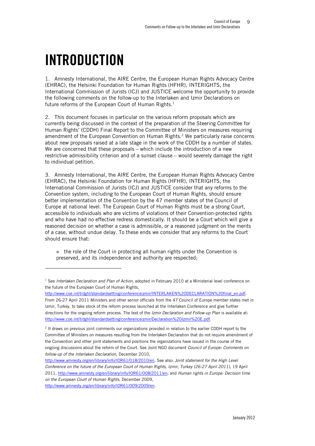# **INTRODUCTION**

1. Amnesty International, the AIRE Centre, the European Human Rights Advocacy Centre (EHRAC), the Helsinki Foundation for Human Rights (HFHR), INTERIGHTS, the International Commission of Jurists (ICJ) and JUSTICE welcome the opportunity to provide the following comments on the follow-up to the Interlaken and Izmir Declarations on future reforms of the European Court of Human Rights.<sup>1</sup>

2. This document focuses in particular on the various reform proposals which are currently being discussed in the context of the preparation of the Steering Committee for Human Rights' (CDDH) Final Report to the Committee of Ministers on measures requiring amendment of the European Convention on Human Rights.<sup>2</sup> We particularly raise concerns about new proposals raised at a late stage in the work of the CDDH by a number of states. We are concerned that these proposals – which include the introduction of a new restrictive admissibility criterion and of a sunset clause – would severely damage the right to individual petition.

3. Amnesty International, the AIRE Centre, the European Human Rights Advocacy Centre (EHRAC), the Helsinki Foundation for Human Rights (HFHR), INTERIGHTS, the International Commission of Jurists (ICJ) and JUSTICE consider that any reforms to the Convention system, including to the European Court of Human Rights, should ensure better implementation of the Convention by the 47 member states of the Council of Europe at national level. The European Court of Human Rights must be a strong Court, accessible to individuals who are victims of violations of their Convention-protected rights and who have had no effective redress domestically. It should be a Court which will give a reasoned decision on whether a case is admissible, or a reasoned judgment on the merits of a case, without undue delay. To these ends we consider that any reforms to the Court should ensure that:

■ the role of the Court in protecting all human rights under the Convention is preserved, and its independence and authority are respected;

http://www.coe.int/t/dghl/standardsetting/conferenceizmir/INTERLAKEN%20DECLARATION%20final\_en.pdf. From 26-27 April 2011 Ministers and other senior officials from the 47 Council of Europe member states met in Izmir, Turkey, to take stock of the reform process launched at the Interlaken Conference and give further directions for the ongoing reform process. The text of the *Izmir Declaration and Follow-up Plan* is available at: http://www.coe.int/t/dghl/standardsetting/conferenceizmir/Declaration%20Izmir%20E.pdf.

<sup>2</sup> It draws on previous joint comments our organizations provided in relation to the earlier CDDH report to the Committee of Ministers on measures resulting from the Interlaken Declaration that do not require amendment of the Convention and other joint statements and positions the organizations have issued in the course of the ongoing discussions about the reform of the Court. See Joint NGO document *Council of Europe: Comments on follow-up of the Interlaken Declaration*, December 2010,

http://www.amnesty.org/en/library/info/IOR61/018/2010/en. See also: *Joint statement for the High Level Conference on the future of the European Court of Human Rights, Izmir, Turkey (26-27 April 2011)*, 19 April 2011, http://www.amnesty.org/en/library/info/IOR61/008/2011/en; and *Human rights in Europe: Decision time on the European Court of Human Rights*, December 2009,

http://www.amnesty.org/en/library/info/IOR61/009/2009/en.

<sup>&</sup>lt;sup>1</sup> See *Interlaken Declaration and Plan of Action*, adopted in February 2010 at a Ministerial level conference on the future of the European Court of Human Rights,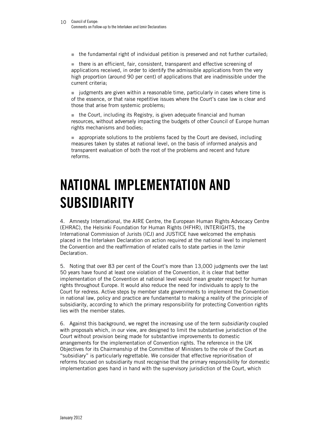$\blacksquare$  the fundamental right of individual petition is preserved and not further curtailed;

 there is an efficient, fair, consistent, transparent and effective screening of applications received, in order to identify the admissible applications from the very high proportion (around 90 per cent) of applications that are inadmissible under the current criteria;

**judgments are given within a reasonable time, particularly in cases where time is** of the essence, or that raise repetitive issues where the Court's case law is clear and those that arise from systemic problems;

■ the Court, including its Registry, is given adequate financial and human resources, without adversely impacting the budgets of other Council of Europe human rights mechanisms and bodies;

**a** appropriate solutions to the problems faced by the Court are devised, including measures taken by states at national level, on the basis of informed analysis and transparent evaluation of both the root of the problems and recent and future reforms.

# **NATIONAL IMPLEMENTATION AND SUBSIDIARITY**

4. Amnesty International, the AIRE Centre, the European Human Rights Advocacy Centre (EHRAC), the Helsinki Foundation for Human Rights (HFHR), INTERIGHTS, the International Commission of Jurists (ICJ) and JUSTICE have welcomed the emphasis placed in the Interlaken Declaration on action required at the national level to implement the Convention and the reaffirmation of related calls to state parties in the Izmir **Declaration** 

5. Noting that over 83 per cent of the Court's more than 13,000 judgments over the last 50 years have found at least one violation of the Convention, it is clear that better implementation of the Convention at national level would mean greater respect for human rights throughout Europe. It would also reduce the need for individuals to apply to the Court for redress. Active steps by member state governments to implement the Convention in national law, policy and practice are fundamental to making a reality of the principle of subsidiarity, according to which the primary responsibility for protecting Convention rights lies with the member states.

6. Against this background, we regret the increasing use of the term *subsidiarity* coupled with proposals which, in our view, are designed to limit the substantive jurisdiction of the Court without provision being made for substantive improvements to domestic arrangements for the implementation of Convention rights. The reference in the UK Objectives for its Chairmanship of the Committee of Ministers to the role of the Court as "subsidiary" is particularly regrettable. We consider that effective reprioritisation of reforms focused on subsidiarity must recognise that the primary responsibility for domestic implementation goes hand in hand with the supervisory jurisdiction of the Court, which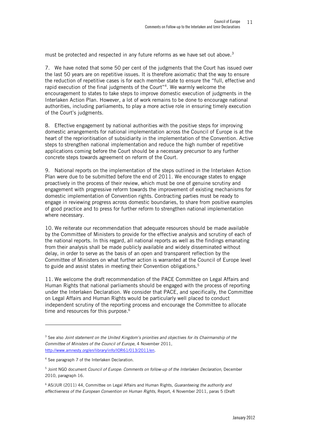must be protected and respected in any future reforms as we have set out above.<sup>3</sup>

7. We have noted that some 50 per cent of the judgments that the Court has issued over the last 50 years are on repetitive issues. It is therefore axiomatic that the way to ensure the reduction of repetitive cases is for each member state to ensure the "full, effective and rapid execution of the final judgments of the Court" 4 . We warmly welcome the encouragement to states to take steps to improve domestic execution of judgments in the Interlaken Action Plan. However, a lot of work remains to be done to encourage national authorities, including parliaments, to play a more active role in ensuring timely execution of the Court's judgments.

8. Effective engagement by national authorities with the positive steps for improving domestic arrangements for national implementation across the Council of Europe is at the heart of the reprioritisation of subsidiarity in the implementation of the Convention. Active steps to strengthen national implementation and reduce the high number of repetitive applications coming before the Court should be a necessary precursor to any further concrete steps towards agreement on reform of the Court.

9. National reports on the implementation of the steps outlined in the Interlaken Action Plan were due to be submitted before the end of 2011. We encourage states to engage proactively in the process of their review, which must be one of genuine scrutiny and engagement with progressive reform towards the improvement of existing mechanisms for domestic implementation of Convention rights. Contracting parties must be ready to engage in reviewing progress across domestic boundaries, to share from positive examples of good practice and to press for further reform to strengthen national implementation where necessary.

10. We reiterate our recommendation that adequate resources should be made available by the Committee of Ministers to provide for the effective analysis and scrutiny of each of the national reports. In this regard, all national reports as well as the findings emanating from their analysis shall be made publicly available and widely disseminated without delay, in order to serve as the basis of an open and transparent reflection by the Committee of Ministers on what further action is warranted at the Council of Europe level to guide and assist states in meeting their Convention obligations.<sup>5</sup>

11. We welcome the draft recommendation of the PACE Committee on Legal Affairs and Human Rights that national parliaments should be engaged with the process of reporting under the Interlaken Declaration. We consider that PACE, and specifically, the Committee on Legal Affairs and Human Rights would be particularly well placed to conduct independent scrutiny of the reporting process and encourage the Committee to allocate time and resources for this purpose.<sup>6</sup>

<sup>3</sup> See also *Joint statement on the United Kingdom's priorities and objectives for its Chairmanship of the Committee of Ministers of the Council of Europe*, 4 November 2011, http://www.amnesty.org/en/library/info/IOR61/013/2011/en.

<sup>4</sup> See paragraph 7 of the Interlaken Declaration.

<sup>5</sup> Joint NGO document *Council of Europe: Comments on follow-up of the Interlaken Declaration*, December 2010, paragraph 16.

<sup>6</sup> AS/JUR (2011) 44, Committee on Legal Affairs and Human Rights, *Guaranteeing the authority and effectiveness of the European Convention on Human Rights,* Report, 4 November 2011, paras 5 (Draft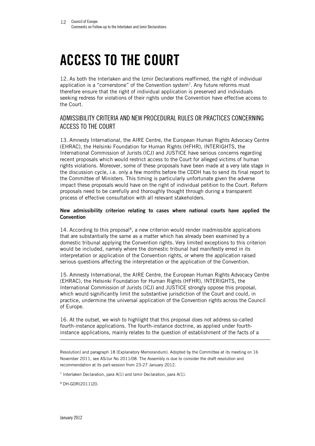# **ACCESS TO THE COURT**

12. As both the Interlaken and the Izmir Declarations reaffirmed, the right of individual application is a "cornerstone" of the Convention system<sup>7</sup>. Any future reforms must therefore ensure that the right of individual application is preserved and individuals seeking redress for violations of their rights under the Convention have effective access to the Court.

### ADMISSIBILITY CRITERIA AND NEW PROCEDURAL RULES OR PRACTICES CONCERNING ACCESS TO THE COURT

13. Amnesty International, the AIRE Centre, the European Human Rights Advocacy Centre (EHRAC), the Helsinki Foundation for Human Rights (HFHR), INTERIGHTS, the International Commission of Jurists (ICJ) and JUSTICE have serious concerns regarding recent proposals which would restrict access to the Court for alleged victims of human rights violations. Moreover, some of these proposals have been made at a very late stage in the discussion cycle, i.e. only a few months before the CDDH has to send its final report to the Committee of Ministers. This timing is particularly unfortunate given the adverse impact these proposals would have on the right of individual petition to the Court. Reform proposals need to be carefully and thoroughly thought through during a transparent process of effective consultation with all relevant stakeholders.

#### **New admissibility criterion relating to cases where national courts have applied the Convention**

14. According to this proposal<sup>8</sup>, a new criterion would render inadmissible applications that are substantially the same as a matter which has already been examined by a domestic tribunal applying the Convention rights. Very limited exceptions to this criterion would be included, namely where the domestic tribunal had manifestly erred in its interpretation or application of the Convention rights, or where the application raised serious questions affecting the interpretation or the application of the Convention.

15. Amnesty International, the AIRE Centre, the European Human Rights Advocacy Centre (EHRAC), the Helsinki Foundation for Human Rights (HFHR), INTERIGHTS, the International Commission of Jurists (ICJ) and JUSTICE strongly oppose this proposal, which would significantly limit the substantive jurisdiction of the Court and could, in practice, undermine the universal application of the Convention rights across the Council of Europe.

16. At the outset, we wish to highlight that this proposal does not address so-called fourth-instance applications. The fourth-instance doctrine, as applied under fourthinstance applications, mainly relates to the question of establishment of the facts of a

Resolution) and paragraph 18 (Explanatory Memorandum). Adopted by the Committee at its meeting on 16 November 2011, see AS/Jur No 2011/08. The Assembly is due to consider the draft resolution and recommendation at its part-session from 23-27 January 2012.

<sup>&</sup>lt;sup>7</sup> Interlaken Declaration, para  $A(1)$  and Izmir Declaration, para  $A(1)$ .

<sup>8</sup> DH-GDR(2011)20.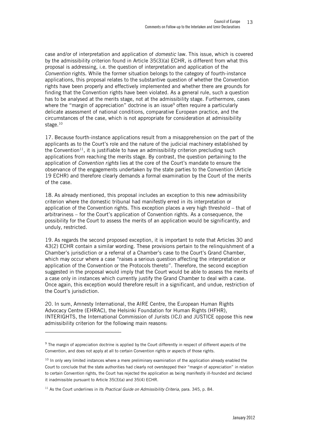case and/or of interpretation and application of *domestic* law. This issue, which is covered by the admissibility criterion found in Article 35(3)(a) ECHR, is different from what this proposal is addressing, i.e. the question of interpretation and application of the *Convention* rights. While the former situation belongs to the category of fourth-instance applications, this proposal relates to the substantive question of whether the Convention rights have been properly and effectively implemented and whether there are grounds for finding that the Convention rights have been violated. As a general rule, such a question has to be analysed at the merits stage, not at the admissibility stage. Furthermore, cases where the "margin of appreciation" doctrine is an issue<sup>9</sup> often require a particularly delicate assessment of national conditions, comparative European practice, and the circumstances of the case, which is not appropriate for consideration at admissibility stage.<sup>10</sup>

17. Because fourth-instance applications result from a misapprehension on the part of the applicants as to the Court's role and the nature of the judicial machinery established by the Convention<sup>11</sup>, it is justifiable to have an admissibility criterion precluding such applications from reaching the merits stage. By contrast, the question pertaining to the application of *Convention rights* lies at the core of the Court's mandate to ensure the observance of the engagements undertaken by the state parties to the Convention (Article 19 ECHR) and therefore clearly demands a formal examination by the Court of the merits of the case.

18. As already mentioned, this proposal includes an exception to this new admissibility criterion where the domestic tribunal had manifestly erred in its interpretation or application of the Convention rights. This exception places a very high threshold – that of arbitrariness – for the Court's application of Convention rights. As a consequence, the possibility for the Court to assess the merits of an application would be significantly, and unduly, restricted.

19. As regards the second proposed exception, it is important to note that Articles 30 and 43(2) ECHR contain a similar wording. These provisions pertain to the relinquishment of a Chamber's jurisdiction or a referral of a Chamber's case to the Court's Grand Chamber, which may occur where a case "raises a serious question affecting the interpretation or application of the Convention or the Protocols thereto". Therefore, the second exception suggested in the proposal would imply that the Court would be able to assess the merits of a case only in instances which currently justify the Grand Chamber to deal with a case. Once again, this exception would therefore result in a significant, and undue, restriction of the Court's jurisdiction.

20. In sum, Amnesty International, the AIRE Centre, the European Human Rights Advocacy Centre (EHRAC), the Helsinki Foundation for Human Rights (HFHR), INTERIGHTS, the International Commission of Jurists (ICJ) and JUSTICE oppose this new admissibility criterion for the following main reasons:

<sup>&</sup>lt;sup>9</sup> The margin of appreciation doctrine is applied by the Court differently in respect of different aspects of the Convention, and does not apply at all to certain Convention rights or aspects of those rights.

<sup>&</sup>lt;sup>10</sup> In only very limited instances where a mere preliminary examination of the application already enabled the Court to conclude that the state authorities had clearly not overstepped their "margin of appreciation" in relation to certain Convention rights, the Court has rejected the application as being manifestly ill-founded and declared it inadmissible pursuant to Article 35(3)(a) and 35(4) ECHR.

<sup>11</sup> As the Court underlines in its *Practical Guide on Admissibility Criteria*, para. 345, p. 84.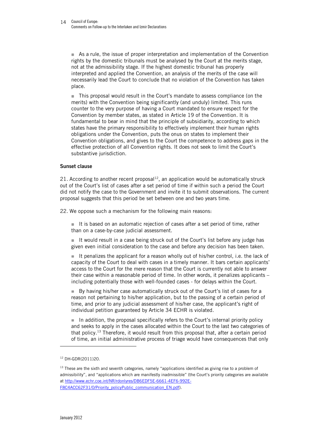As a rule, the issue of proper interpretation and implementation of the Convention rights by the domestic tribunals must be analysed by the Court at the merits stage, not at the admissibility stage. If the highest domestic tribunal has properly interpreted and applied the Convention, an analysis of the merits of the case will necessarily lead the Court to conclude that no violation of the Convention has taken place.

 This proposal would result in the Court's mandate to assess compliance (on the merits) with the Convention being significantly (and unduly) limited. This runs counter to the very purpose of having a Court mandated to ensure respect for the Convention by member states, as stated in Article 19 of the Convention. It is fundamental to bear in mind that the principle of subsidiarity, according to which states have the primary responsibility to effectively implement their human rights obligations under the Convention, puts the onus on states to implement their Convention obligations, and gives to the Court the competence to address gaps in the effective protection of all Convention rights. It does not seek to limit the Court's substantive jurisdiction.

#### **Sunset clause**

21. According to another recent proposal<sup>12</sup>, an application would be automatically struck out of the Court's list of cases after a set period of time if within such a period the Court did not notify the case to the Government and invite it to submit observations. The current proposal suggests that this period be set between one and two years time.

22. We oppose such a mechanism for the following main reasons:

It is based on an automatic rejection of cases after a set period of time, rather than on a case-by-case judicial assessment.

It would result in a case being struck out of the Court's list before any judge has given even initial consideration to the case and before any decision has been taken.

It penalizes the applicant for a reason wholly out of his/her control, i.e. the lack of capacity of the Court to deal with cases in a timely manner. It bars certain applicants' access to the Court for the mere reason that the Court is currently not able to answer their case within a reasonable period of time. In other words, it penalizes applicants – including potentially those with well-founded cases - for delays within the Court.

 By having his/her case automatically struck out of the Court's list of cases for a reason not pertaining to his/her application, but to the passing of a certain period of time, and prior to any judicial assessment of his/her case, the applicant's right of individual petition guaranteed by Article 34 ECHR is violated.

In addition, the proposal specifically refers to the Court's internal priority policy and seeks to apply in the cases allocated within the Court to the last two categories of that policy.<sup>13</sup> Therefore, it would result from this proposal that, after a certain period of time, an initial administrative process of triage would have consequences that only

<sup>12</sup> DH-GDR(2011)20.

<sup>&</sup>lt;sup>13</sup> These are the sixth and seventh categories, namely "applications identified as giving rise to a problem of admissibility", and "applications which are manifestly inadmissible" (the Court's priority categories are available at http://www.echr.coe.int/NR/rdonlyres/DB6EDF5E-6661-4EF6-992E-F8C4ACC62F31/0/Priority\_policyPublic\_communication\_EN.pdf).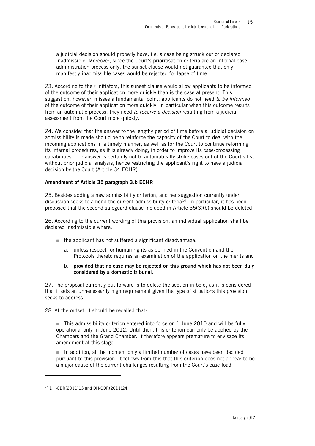a judicial decision should properly have, i.e. a case being struck out or declared inadmissible. Moreover, since the Court's prioritisation criteria are an internal case administration process only, the sunset clause would not guarantee that only manifestly inadmissible cases would be rejected for lapse of time.

23. According to their initiators, this sunset clause would allow applicants to be informed of the outcome of their application more quickly than is the case at present. This suggestion, however, misses a fundamental point: applicants do not need *to be informed* of the outcome of their application more quickly, in particular when this outcome results from an automatic process; they need *to receive a decision* resulting from a judicial assessment from the Court more quickly.

24. We consider that the answer to the lengthy period of time before a judicial decision on admissibility is made should be to reinforce the capacity of the Court to deal with the incoming applications in a timely manner, as well as for the Court to continue reforming its internal procedures, as it is already doing, in order to improve its case-processing capabilities. The answer is certainly not to automatically strike cases out of the Court's list without prior judicial analysis, hence restricting the applicant's right to have a judicial decision by the Court (Article 34 ECHR).

#### **Amendment of Article 35 paragraph 3.b ECHR**

25. Besides adding a new admissibility criterion, another suggestion currently under discussion seeks to amend the current admissibility criteria<sup>14</sup>. In particular, it has been proposed that the second safeguard clause included in Article 35(3)(b) should be deleted.

26. According to the current wording of this provision, an individual application shall be declared inadmissible where:

- $\blacksquare$  the applicant has not suffered a significant disadvantage,
	- a. unless respect for human rights as defined in the Convention and the Protocols thereto requires an examination of the application on the merits and
	- b. **provided that no case may be rejected on this ground which has not been duly considered by a domestic tribunal**.

27. The proposal currently put forward is to delete the section in bold, as it is considered that it sets an unnecessarily high requirement given the type of situations this provision seeks to address.

28. At the outset, it should be recalled that:

 $\blacksquare$  This admissibility criterion entered into force on 1 June 2010 and will be fully operational only in June 2012. Until then, this criterion can only be applied by the Chambers and the Grand Chamber. It therefore appears premature to envisage its amendment at this stage.

In addition, at the moment only a limited number of cases have been decided pursuant to this provision. It follows from this that this criterion does not appear to be a major cause of the current challenges resulting from the Court's case-load.

<sup>14</sup> DH-GDR(2011)13 and DH-GDR(2011)24.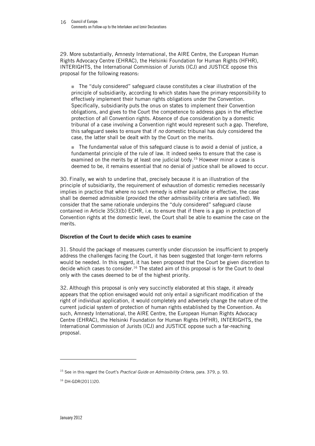29. More substantially, Amnesty International, the AIRE Centre, the European Human Rights Advocacy Centre (EHRAC), the Helsinki Foundation for Human Rights (HFHR), INTERIGHTS, the International Commission of Jurists (ICJ) and JUSTICE oppose this proposal for the following reasons:

 The "duly considered" safeguard clause constitutes a clear illustration of the principle of subsidiarity, according to which states have the primary responsibility to effectively implement their human rights obligations under the Convention. Specifically, subsidiarity puts the onus on states to implement their Convention obligations, and gives to the Court the competence to address gaps in the effective protection of all Convention rights. Absence of due consideration by a domestic tribunal of a case involving a Convention right would represent such a gap. Therefore, this safeguard seeks to ensure that if *no* domestic tribunal has duly considered the case, the latter shall be dealt with by the Court on the merits.

 The fundamental value of this safeguard clause is to avoid a denial of justice, a fundamental principle of the rule of law. It indeed seeks to ensure that the case is examined on the merits by at least one judicial body.<sup>15</sup> However minor a case is deemed to be, it remains essential that no denial of justice shall be allowed to occur.

30. Finally, we wish to underline that, precisely because it is an illustration of the principle of subsidiarity, the requirement of exhaustion of domestic remedies necessarily implies in practice that where no such remedy is either available or effective, the case shall be deemed admissible (provided the other admissibility criteria are satisfied). We consider that the same rationale underpins the "duly considered" safeguard clause contained in Article 35(3)(b) ECHR, i.e. to ensure that if there is a gap in protection of Convention rights at the domestic level, the Court shall be able to examine the case on the merits.

#### **Discretion of the Court to decide which cases to examine**

31. Should the package of measures currently under discussion be insufficient to properly address the challenges facing the Court, it has been suggested that longer-term reforms would be needed. In this regard, it has been proposed that the Court be given discretion to decide which cases to consider.<sup>16</sup> The stated aim of this proposal is for the Court to deal only with the cases deemed to be of the highest priority.

32. Although this proposal is only very succinctly elaborated at this stage, it already appears that the option envisaged would not only entail a significant modification of the right of individual application, it would completely and adversely change the nature of the current judicial system of protection of human rights established by the Convention. As such, Amnesty International, the AIRE Centre, the European Human Rights Advocacy Centre (EHRAC), the Helsinki Foundation for Human Rights (HFHR), INTERIGHTS, the International Commission of Jurists (ICJ) and JUSTICE oppose such a far-reaching proposal.

<sup>15</sup> See in this regard the Court's *Practical Guide on Admissibility Criteria*, para. 379, p. 93.

<sup>16</sup> DH-GDR(2011)20.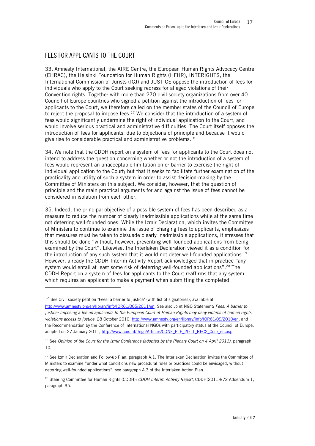### FEES FOR APPLICANTS TO THE COURT

j

33. Amnesty International, the AIRE Centre, the European Human Rights Advocacy Centre (EHRAC), the Helsinki Foundation for Human Rights (HFHR), INTERIGHTS, the International Commission of Jurists (ICJ) and JUSTICE oppose the introduction of fees for individuals who apply to the Court seeking redress for alleged violations of their Convention rights. Together with more than 270 civil society organizations from over 40 Council of Europe countries who signed a petition against the introduction of fees for applicants to the Court, we therefore called on the member states of the Council of Europe to reject the proposal to impose fees.<sup>17</sup> We consider that the introduction of a system of fees would significantly undermine the right of individual application to the Court, and would involve serious practical and administrative difficulties. The Court itself opposes the introduction of fees for applicants, due to objections of principle and because it would give rise to considerable practical and administrative problems.<sup>18</sup>

34. We note that the CDDH report on a system of fees for applicants to the Court does not intend to address the question concerning whether or not the introduction of a system of fees would represent an unacceptable limitation on or barrier to exercise the right of individual application to the Court; but that it seeks to facilitate further examination of the practicality and utility of such a system in order to assist decision-making by the Committee of Ministers on this subject. We consider, however, that the question of principle and the main practical arguments for and against the issue of fees cannot be considered in isolation from each other.

35. Indeed, the principal objective of a possible system of fees has been described as a measure to reduce the number of clearly inadmissible applications while at the same time not deterring well-founded ones. While the Izmir Declaration, which invites the Committee of Ministers to continue to examine the issue of charging fees to applicants, emphasizes that measures must be taken to dissuade clearly inadmissible applications, it stresses that this should be done "without, however, preventing well-founded applications from being examined by the Court". Likewise, the Interlaken Declaration viewed it as a condition for the introduction of any such system that it would not deter well-founded applications.<sup>19</sup> However, already the CDDH Interim Activity Report acknowledged that in practice "any system would entail at least some risk of deterring well-founded applications".<sup>20</sup> The CDDH Report on a system of fees for applicants to the Court reaffirms that any system which requires an applicant to make a payment when submitting the completed

**<sup>17</sup>** See Civil society petition "Fees: a barrier to justice" (with list of signatories), available at http://www.amnesty.org/en/library/info/IOR61/005/2011/en. See also Joint NGO Statement: *Fees: A barrier to justice: Imposing a fee on applicants to the European Court of Human Rights may deny victims of human rights violations access to justice*, 28 October 2010, http://www.amnesty.org/en/library/info/IOR61/09/2010/en; and the Recommendation by the Conference of International NGOs with participatory status at the Council of Europe, adopted on 27 January 2011, http://www.coe.int/t/ngo/Articles/CONF\_PLE\_2011\_REC2\_Cour\_en.asp.

<sup>18</sup> See *Opinion of the Court for the Izmir Conference (adopted by the Plenary Court on 4 April 2011)*, paragraph 10.

 $19$  See Izmir Declaration and Follow-up Plan, paragraph A.1. The Interlaken Declaration invites the Committee of Ministers to examine "under what conditions new procedural rules or practices could be envisaged, without deterring well-founded applications"; see paragraph A.3 of the Interlaken Action Plan.

<sup>20</sup> Steering Committee for Human Rights (CDDH): *CDDH Interim Activity Report*, CDDH(2011)R72 Addendum 1, paragraph 35.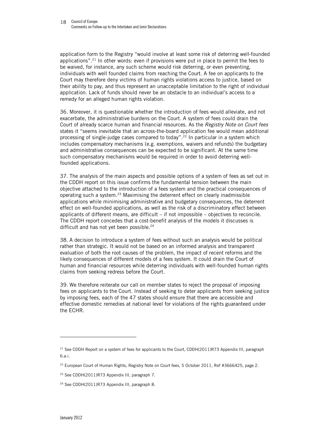application form to the Registry "would involve at least some risk of deterring well-founded applications".<sup>21</sup> In other words: even if provisions were put in place to permit the fees to be waived, for instance, any such scheme would risk deterring, or even preventing, individuals with well founded claims from reaching the Court. A fee on applicants to the Court may therefore deny victims of human rights violations access to justice, based on their ability to pay, and thus represent an unacceptable limitation to the right of individual application. Lack of funds should never be an obstacle to an individual's access to a remedy for an alleged human rights violation.

36. Moreover, it is questionable whether the introduction of fees would alleviate, and not exacerbate, the administrative burdens on the Court. A system of fees could drain the Court of already scarce human and financial resources. As the *Registry Note on Court fees* states it "seems inevitable that an across-the-board application fee would mean additional processing of single-judge cases compared to today". <sup>22</sup> In particular in a system which includes compensatory mechanisms (e.g. exemptions, waivers and refunds) the budgetary and administrative consequences can be expected to be significant. At the same time such compensatory mechanisms would be required in order to avoid deterring wellfounded applications.

37. The analysis of the main aspects and possible options of a system of fees as set out in the CDDH report on this issue confirms the fundamental tension between the main objective attached to the introduction of a fees system and the practical consequences of operating such a system.<sup>23</sup> Maximising the deterrent effect on clearly inadmissible applications while minimising administrative and budgetary consequences, the deterrent effect on well-founded applications, as well as the risk of a discriminatory effect between applicants of different means, are difficult – if not impossible – objectives to reconcile. The CDDH report concedes that a cost-benefit analysis of the models it discusses is difficult and has not yet been possible.<sup>24</sup>

38. A decision to introduce a system of fees without such an analysis would be political rather than strategic. It would not be based on an informed analysis and transparent evaluation of both the root causes of the problem, the impact of recent reforms and the likely consequences of different models of a fees system. It could drain the Court of human and financial resources while deterring individuals with well-founded human rights claims from seeking redress before the Court.

39. We therefore reiterate our call on member states to reject the proposal of imposing fees on applicants to the Court. Instead of seeking to deter applicants from seeking justice by imposing fees, each of the 47 states should ensure that there are accessible and effective domestic remedies at national level for violations of the rights guaranteed under the ECHR.

<sup>&</sup>lt;sup>21</sup> See CDDH Report on a system of fees for applicants to the Court, CDDH(2011)R73 Appendix III, paragraph 6.a.i.

<sup>&</sup>lt;sup>22</sup> European Court of Human Rights, Registry Note on Court fees, 5 October 2011, Ref #3666425, page 2.

<sup>23</sup> See CDDH(2011)R73 Appendix III, paragraph 7.

<sup>24</sup> See CDDH(2011)R73 Appendix III, paragraph 8.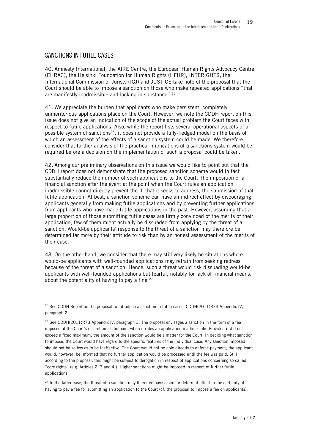### SANCTIONS IN FUTILE CASES

j

40. Amnesty International, the AIRE Centre, the European Human Rights Advocacy Centre (EHRAC), the Helsinki Foundation for Human Rights (HFHR), INTERIGHTS, the International Commission of Jurists (ICJ) and JUSTICE take note of the proposal that the Court should be able to impose a sanction on those who make repeated applications "that are manifestly inadmissible and lacking in substance".<sup>25</sup>

41. We appreciate the burden that applicants who make persistent, completely unmeritorious applications place on the Court. However, we note the CDDH report on this issue does not give an indication of the scope of the actual problem the Court faces with respect to futile applications. Also, while the report lists several operational aspects of a possible system of sanctions<sup>26</sup>, it does not provide a fully-fledged model on the basis of which an assessment of the effects of a sanction system could be made. We therefore consider that further analysis of the practical implications of a sanctions system would be required before a decision on the implementation of such a proposal could be taken.

42. Among our preliminary observations on this issue we would like to point out that the CDDH report does not demonstrate that the proposed sanction scheme would in fact substantially reduce the number of such applications to the Court. The imposition of a financial sanction after the event at the point when the Court rules an application inadmissible cannot directly prevent the ill that it seeks to address, the submission of that futile application. At best, a sanction scheme can have an indirect effect by discouraging applicants generally from making futile applications and by preventing further applications from applicants who have made futile applications in the past. However, assuming that a large proportion of those submitting futile cases are firmly convinced of the merits of their application, few of them might actually be dissuaded from applying by the threat of a sanction. Would-be applicants' response to the threat of a sanction may therefore be determined far more by their attitude to risk than by an honest assessment of the merits of their case.

43. On the other hand, we consider that there may still very likely be situations where would-be applicants with well-founded applications may refrain from seeking redress because of the threat of a sanction. Hence, such a threat would risk dissuading would-be applicants with well-founded applications but fearful, notably for lack of financial means, about the potentiality of having to pay a fine.<sup>27</sup>

<sup>&</sup>lt;sup>25</sup> See CDDH Report on the proposal to introduce a sanction in futile cases, CDDH(2011)R73 Appendix IV, paragraph 2.

 $26$  See CDDH(2011)R73 Appendix IV, paragraph 3. The proposal envisages a sanction in the form of a fee imposed at the Court's discretion at the point when it rules an application inadmissible. Provided it did not exceed a fixed maximum, the amount of the sanction would be a matter for the Court. In deciding what sanction to impose, the Court would have regard to the specific features of the individual case. Any sanction imposed should not be so low as to be ineffective. The Court would not be able directly to enforce payment; the applicant would, however, be informed that no further application would be processed until the fee was paid. Still according to the proposal, this might be subject to derogation in respect of applications concerning so-called "core rights" (e.g. Articles 2, 3 and 4.) Higher sanctions might be imposed in respect of further futile applications.

<sup>&</sup>lt;sup>27</sup> In the latter case, the threat of a sanction may therefore have a similar deterrent effect to the certainty of having to pay a fee for submitting an application to the Court (cf. the proposal to impose a fee on applicants).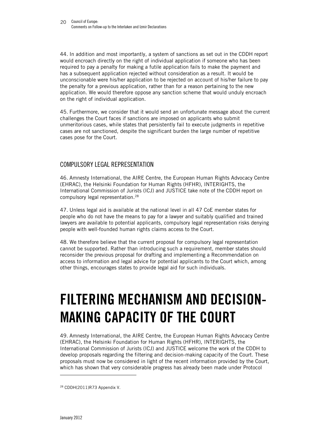44. In addition and most importantly, a system of sanctions as set out in the CDDH report would encroach directly on the right of individual application if someone who has been required to pay a penalty for making a futile application fails to make the payment and has a subsequent application rejected without consideration as a result. It would be unconscionable were his/her application to be rejected on account of his/her failure to pay the penalty for a previous application, rather than for a reason pertaining to the new application. We would therefore oppose any sanction scheme that would unduly encroach on the right of individual application.

45. Furthermore, we consider that it would send an unfortunate message about the current challenges the Court faces if sanctions are imposed on applicants who submit unmeritorious cases, while states that persistently fail to execute judgments in repetitive cases are not sanctioned, despite the significant burden the large number of repetitive cases pose for the Court.

### COMPULSORY LEGAL REPRESENTATION

46. Amnesty International, the AIRE Centre, the European Human Rights Advocacy Centre (EHRAC), the Helsinki Foundation for Human Rights (HFHR), INTERIGHTS, the International Commission of Jurists (ICJ) and JUSTICE take note of the CDDH report on compulsory legal representation.<sup>28</sup>

47. Unless legal aid is available at the national level in all 47 CoE member states for people who do not have the means to pay for a lawyer and suitably qualified and trained lawyers are available to potential applicants, compulsory legal representation risks denying people with well-founded human rights claims access to the Court.

48. We therefore believe that the current proposal for compulsory legal representation cannot be supported. Rather than introducing such a requirement, member states should reconsider the previous proposal for drafting and implementing a Recommendation on access to information and legal advice for potential applicants to the Court which, among other things, encourages states to provide legal aid for such individuals.

# **FILTERING MECHANISM AND DECISION-MAKING CAPACITY OF THE COURT**

49. Amnesty International, the AIRE Centre, the European Human Rights Advocacy Centre (EHRAC), the Helsinki Foundation for Human Rights (HFHR), INTERIGHTS, the International Commission of Jurists (ICJ) and JUSTICE welcome the work of the CDDH to develop proposals regarding the filtering and decision-making capacity of the Court. These proposals must now be considered in light of the recent information provided by the Court, which has shown that very considerable progress has already been made under Protocol

<sup>28</sup> CDDH(2011)R73 Appendix V.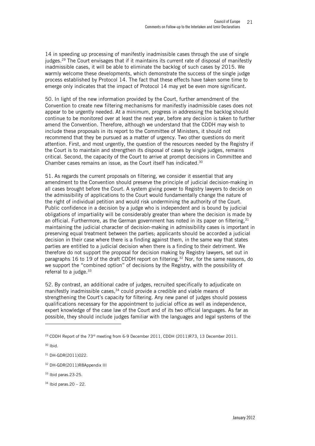14 in speeding up processing of manifestly inadmissible cases through the use of single judges.<sup>29</sup> The Court envisages that if it maintains its current rate of disposal of manifestly inadmissible cases, it will be able to eliminate the backlog of such cases by 2015. We warmly welcome these developments, which demonstrate the success of the single judge process established by Protocol 14. The fact that these effects have taken some time to emerge only indicates that the impact of Protocol 14 may yet be even more significant.

50. In light of the new information provided by the Court, further amendment of the Convention to create new filtering mechanisms for manifestly inadmissible cases does not appear to be urgently needed. At a minimum, progress in addressing the backlog should continue to be monitored over at least the next year, before any decision is taken to further amend the Convention. Therefore, although we understand that the CDDH may wish to include these proposals in its report to the Committee of Ministers, it should not recommend that they be pursued as a matter of urgency. Two other questions do merit attention. First, and most urgently, the question of the resources needed by the Registry if the Court is to maintain and strengthen its disposal of cases by single judges, remains critical. Second, the capacity of the Court to arrive at prompt decisions in Committee and Chamber cases remains an issue, as the Court itself has indicated.<sup>30</sup>

51. As regards the current proposals on filtering, we consider it essential that any amendment to the Convention should preserve the principle of judicial decision-making in all cases brought before the Court. A system giving power to Registry lawyers to decide on the admissibility of applications to the Court would fundamentally change the nature of the right of individual petition and would risk undermining the authority of the Court. Public confidence in a decision by a judge who is independent and is bound by judicial obligations of impartiality will be considerably greater than where the decision is made by an official. Furthermore, as the German government has noted in its paper on filtering, $31$ maintaining the judicial character of decision-making in admissibility cases is important in preserving equal treatment between the parties; applicants should be accorded a judicial decision in their case where there is a finding against them, in the same way that states parties are entitled to a judicial decision when there is a finding to their detriment. We therefore do not support the proposal for decision making by Registry lawyers, set out in paragraphs 16 to 19 of the draft CDDH report on filtering.<sup>32</sup> Nor, for the same reasons, do we support the "combined option" of decisions by the Registry, with the possibility of referral to a judge.  $33$ 

52. By contrast, an additional cadre of judges, recruited specifically to adjudicate on manifestly inadmissible cases,<sup>34</sup> could provide a credible and viable means of strengthening the Court's capacity for filtering. Any new panel of judges should possess qualifications necessary for the appointment to judicial office as well as independence, expert knowledge of the case law of the Court and of its two official languages. As far as possible, they should include judges familiar with the languages and legal systems of the

j

<sup>32</sup> DH-GDR(2011)R8Appendix III

<sup>&</sup>lt;sup>29</sup> CDDH Report of the 73<sup>rd</sup> meeting from 6-9 December 2011, CDDH (2011)R73, 13 December 2011.

<sup>30</sup> Ibid.

<sup>31</sup> DH-GDR(2011)022.

<sup>33</sup> Ibid paras.23-25.

 $34$  Ibid paras.  $20 - 22$ .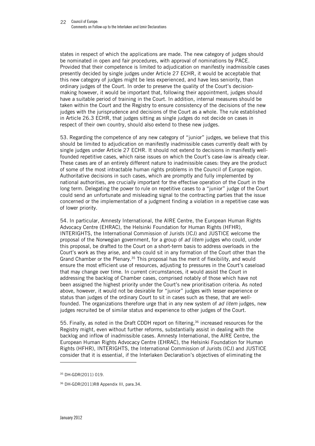states in respect of which the applications are made. The new category of judges should be nominated in open and fair procedures, with approval of nominations by PACE. Provided that their competence is limited to adjudication on manifestly inadmissible cases presently decided by single judges under Article 27 ECHR, it would be acceptable that this new category of judges might be less experienced, and have less seniority, than ordinary judges of the Court. In order to preserve the quality of the Court's decisionmaking however, it would be important that, following their appointment, judges should have a suitable period of training in the Court. In addition, internal measures should be taken within the Court and the Registry to ensure consistency of the decisions of the new judges with the jurisprudence and decisions of the Court as a whole. The rule established in Article 26.3 ECHR, that judges sitting as single judges do not decide on cases in respect of their own country, should also extend to these new judges.

53. Regarding the competence of any new category of "junior" judges, we believe that this should be limited to adjudication on manifestly inadmissible cases currently dealt with by single judges under Article 27 ECHR. It should not extend to decisions in manifestly wellfounded repetitive cases, which raise issues on which the Court's case-law is already clear. These cases are of an entirely different nature to inadmissible cases: they are the product of some of the most intractable human rights problems in the Council of Europe region. Authoritative decisions in such cases, which are promptly and fully implemented by national authorities, are crucially important for the effective operation of the Court in the long term. Delegating the power to rule on repetitive cases to a "junior" judge of the Court could send an unfortunate and misleading signal to the contracting parties that the issue concerned or the implementation of a judgment finding a violation in a repetitive case was of lower priority.

54. In particular, Amnesty International, the AIRE Centre, the European Human Rights Advocacy Centre (EHRAC), the Helsinki Foundation for Human Rights (HFHR), INTERIGHTS, the International Commission of Jurists (ICJ) and JUSTICE welcome the proposal of the Norwegian government, for a group of *ad litem* judges who could, under this proposal, be drafted to the Court on a short-term basis to address overloads in the Court's work as they arise, and who could sit in any formation of the Court other than the Grand Chamber or the Plenary.<sup>35</sup> This proposal has the merit of flexibility, and would ensure the most efficient use of resources, adjusting to pressures in the Court's caseload that may change over time. In current circumstances, it would assist the Court in addressing the backlog of Chamber cases, comprised notably of those which have not been assigned the highest priority under the Court's new prioritisation criteria. As noted above, however, it would not be desirable for "junior" judges with lesser experience or status than judges of the ordinary Court to sit in cases such as these, that are wellfounded. The organizations therefore urge that in any new system of *ad litem* judges, new judges recruited be of similar status and experience to other judges of the Court.

55. Finally, as noted in the Draft CDDH report on filtering,<sup>36</sup> increased resources for the Registry might, even without further reforms, substantially assist in dealing with the backlog and inflow of inadmissible cases. Amnesty International, the AIRE Centre, the European Human Rights Advocacy Centre (EHRAC), the Helsinki Foundation for Human Rights (HFHR), INTERIGHTS, the International Commission of Jurists (ICJ) and JUSTICE consider that it is essential, if the Interlaken Declaration's objectives of eliminating the

<sup>35</sup> DH-GDR(2011) 019.

<sup>36</sup> DH-GDR(2011)R8 Appendix III, para.34.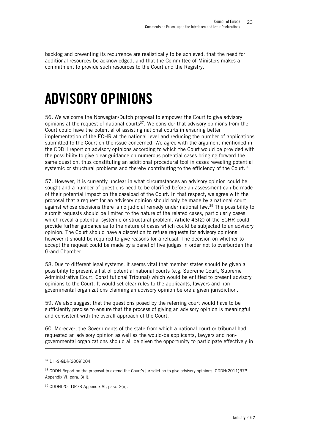backlog and preventing its recurrence are realistically to be achieved, that the need for additional resources be acknowledged, and that the Committee of Ministers makes a commitment to provide such resources to the Court and the Registry.

# **ADVISORY OPINIONS**

56. We welcome the Norwegian/Dutch proposal to empower the Court to give advisory opinions at the request of national courts<sup>37</sup>. We consider that advisory opinions from the Court could have the potential of assisting national courts in ensuring better implementation of the ECHR at the national level and reducing the number of applications submitted to the Court on the issue concerned. We agree with the argument mentioned in the CDDH report on advisory opinions according to which the Court would be provided with the possibility to give clear guidance on numerous potential cases bringing forward the same question, thus constituting an additional procedural tool in cases revealing potential systemic or structural problems and thereby contributing to the efficiency of the Court.<sup>38</sup>

57. However, it is currently unclear in what circumstances an advisory opinion could be sought and a number of questions need to be clarified before an assessment can be made of their potential impact on the caseload of the Court. In that respect, we agree with the proposal that a request for an advisory opinion should only be made by a national court against whose decisions there is no judicial remedy under national law. $39$  The possibility to submit requests should be limited to the nature of the related cases, particularly cases which reveal a potential systemic or structural problem. Article 43(2) of the ECHR could provide further guidance as to the nature of cases which could be subjected to an advisory opinion. The Court should have a discretion to refuse requests for advisory opinions, however it should be required to give reasons for a refusal. The decision on whether to accept the request could be made by a panel of five judges in order not to overburden the Grand Chamber.

58. Due to different legal systems, it seems vital that member states should be given a possibility to present a list of potential national courts (e.g. Supreme Court, Supreme Administrative Court, Constitutional Tribunal) which would be entitled to present advisory opinions to the Court. It would set clear rules to the applicants, lawyers and nongovernmental organizations claiming an advisory opinion before a given jurisdiction.

59. We also suggest that the questions posed by the referring court would have to be sufficiently precise to ensure that the process of giving an advisory opinion is meaningful and consistent with the overall approach of the Court.

60. Moreover, the Governments of the state from which a national court or tribunal had requested an advisory opinion as well as the would-be applicants, lawyers and nongovernmental organizations should all be given the opportunity to participate effectively in

<sup>37</sup> DH-S-GDR(2009)004.

<sup>38</sup> CDDH Report on the proposal to extend the Court's jurisdiction to give advisory opinions, CDDH(2011)R73 Appendix VI, para. 3(ii).

<sup>39</sup> CDDH(2011)R73 Appendix VI, para. 2(ii).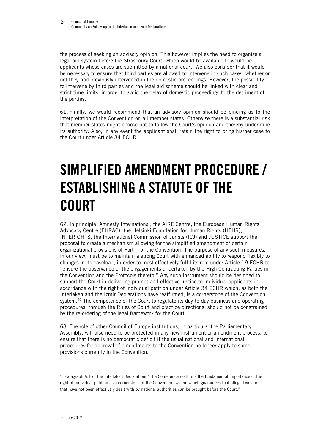the process of seeking an advisory opinion. This however implies the need to organize a legal aid system before the Strasbourg Court, which would be available to would-be applicants whose cases are submitted by a national court. We also consider that it would be necessary to ensure that third parties are allowed to intervene in such cases, whether or not they had previously intervened in the domestic proceedings. However, the possibility to intervene by third parties and the legal aid scheme should be linked with clear and strict time limits, in order to avoid the delay of domestic proceedings to the detriment of the parties.

61. Finally, we would recommend that an advisory opinion should be binding as to the interpretation of the Convention on all member states. Otherwise there is a substantial risk that member states might choose not to follow the Court's opinion and thereby undermine its authority. Also, in any event the applicant shall retain the right to bring his/her case to the Court under Article 34 ECHR.

# **SIMPLIFIED AMENDMENT PROCEDURE / ESTABLISHING A STATUTE OF THE COURT**

62. In principle, Amnesty International, the AIRE Centre, the European Human Rights Advocacy Centre (EHRAC), the Helsinki Foundation for Human Rights (HFHR), INTERIGHTS, the International Commission of Jurists (ICJ) and JUSTICE support the proposal to create a mechanism allowing for the simplified amendment of certain organizational provisions of Part II of the Convention. The purpose of any such measures, in our view, must be to maintain a strong Court with enhanced ability to respond flexibly to changes in its caseload, in order to most effectively fulfil its role under Article 19 ECHR to "ensure the observance of the engagements undertaken by the High Contracting Parties in the Convention and the Protocols thereto." Any such instrument should be designed to support the Court in delivering prompt and effective justice to individual applicants in accordance with the right of individual petition under Article 34 ECHR which, as both the Interlaken and the Izmir Declarations have reaffirmed, is a cornerstone of the Convention system.<sup>40</sup> The competence of the Court to regulate its day-to-day business and operating procedures, through the Rules of Court and practice directions, should not be constrained by the re-ordering of the legal framework for the Court.

63. The role of other Council of Europe institutions, in particular the Parliamentary Assembly, will also need to be protected in any new instrument or amendment process, to ensure that there is no democratic deficit if the usual national and international procedures for approval of amendments to the Convention no longer apply to some provisions currently in the Convention.

<sup>&</sup>lt;sup>40</sup> Paragraph A.1 of the Interlaken Declaration: "The Conference reaffirms the fundamental importance of the right of individual petition as a cornerstone of the Convention system which guarantees that alleged violations that have not been effectively dealt with by national authorities can be brought before the Court."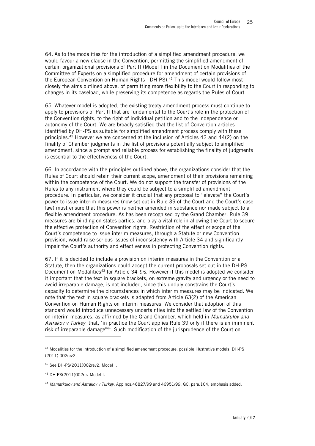64. As to the modalities for the introduction of a simplified amendment procedure, we would favour a new clause in the Convention, permitting the simplified amendment of certain organizational provisions of Part II (Model I in the Document on Modalities of the Committee of Experts on a simplified procedure for amendment of certain provisions of the European Convention on Human Rights - DH-PS).<sup>41</sup> This model would follow most closely the aims outlined above, of permitting more flexibility to the Court in responding to changes in its caseload, while preserving its competence as regards the Rules of Court.

65. Whatever model is adopted, the existing treaty amendment process must continue to apply to provisions of Part II that are fundamental to the Court's role in the protection of the Convention rights, to the right of individual petition and to the independence or autonomy of the Court. We are broadly satisfied that the list of Convention articles identified by DH-PS as suitable for simplified amendment process comply with these principles.<sup>42</sup> However we are concerned at the inclusion of Articles 42 and 44(2) on the finality of Chamber judgments in the list of provisions potentially subject to simplified amendment, since a prompt and reliable process for establishing the finality of judgments is essential to the effectiveness of the Court.

66. In accordance with the principles outlined above, the organizations consider that the Rules of Court should retain their current scope, amendment of their provisions remaining within the competence of the Court. We do not support the transfer of provisions of the Rules to any instrument where they could be subject to a simplified amendment procedure. In particular, we consider it crucial that any proposal to "elevate" the Court's power to issue interim measures (now set out in Rule 39 of the Court and the Court's case law) must ensure that this power is neither amended in substance nor made subject to a flexible amendment procedure. As has been recognised by the Grand Chamber, Rule 39 measures are binding on states parties, and play a vital role in allowing the Court to secure the effective protection of Convention rights. Restriction of the effect or scope of the Court's competence to issue interim measures, through a Statute or new Convention provision, would raise serious issues of inconsistency with Article 34 and significantly impair the Court's authority and effectiveness in protecting Convention rights.

67. If it is decided to include a provision on interim measures in the Convention or a Statute, then the organizations could accept the current proposals set out in the DH-PS Document on Modalities<sup>43</sup> for Article 34 *bis*. However if this model is adopted we consider it important that the text in square brackets, on extreme gravity and urgency or the need to avoid irreparable damage, is not included, since this unduly constrains the Court's capacity to determine the circumstances in which interim measures may be indicated. We note that the text in square brackets is adapted from Article 63(2) of the American Convention on Human Rights on interim measures. We consider that adoption of this standard would introduce unnecessary uncertainties into the settled law of the Convention on interim measures, as affirmed by the Grand Chamber, which held in *Mamatkulov and Astrakov v Turkey* that, "in practice the Court applies Rule 39 only if there is an imminent risk of irreparable damage"<sup>44</sup>. Such modification of the jurisprudence of the Court on

<sup>41</sup> Modalities for the introduction of a simplified amendment procedure: possible illustrative models, DH-PS (2011) 002rev2.

<sup>42</sup> See DH-PS(2011)002rev2, Model I.

<sup>43</sup> DH-PS(2011)002rev Model I.

<sup>44</sup> *Mamatkulov and Astrakov v Turkey*, App nos.46827/99 and 46951/99, GC, para.104, emphasis added.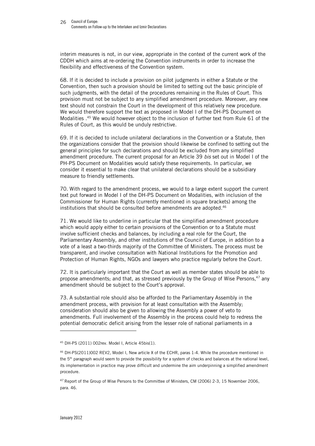interim measures is not, in our view, appropriate in the context of the current work of the CDDH which aims at re-ordering the Convention instruments in order to increase the flexibility and effectiveness of the Convention system.

68. If it is decided to include a provision on pilot judgments in either a Statute or the Convention, then such a provision should be limited to setting out the basic principle of such judgments, with the detail of the procedures remaining in the Rules of Court. This provision must not be subject to any simplified amendment procedure. Moreover, any new text should not constrain the Court in the development of this relatively new procedure. We would therefore support the text as proposed in Model I of the DH-PS Document on Modalities .<sup>45</sup> We would however object to the inclusion of further text from Rule 61 of the Rules of Court, as this would be unduly restrictive.

69. If it is decided to include unilateral declarations in the Convention or a Statute, then the organizations consider that the provision should likewise be confined to setting out the general principles for such declarations and should be excluded from any simplified amendment procedure. The current proposal for an Article 39 *bis* set out in Model I of the PH-PS Document on Modalities would satisfy these requirements. In particular, we consider it essential to make clear that unilateral declarations should be a subsidiary measure to friendly settlements.

70. With regard to the amendment process, we would to a large extent support the current text put forward in Model I of the DH-PS Document on Modalities, with inclusion of the Commissioner for Human Rights (currently mentioned in square brackets) among the institutions that should be consulted before amendments are adopted.<sup>46</sup>

71. We would like to underline in particular that the simplified amendment procedure which would apply either to certain provisions of the Convention or to a Statute must involve sufficient checks and balances, by including a real role for the Court, the Parliamentary Assembly, and other institutions of the Council of Europe, in addition to a vote of a least a two-thirds majority of the Committee of Ministers. The process must be transparent, and involve consultation with National Institutions for the Promotion and Protection of Human Rights, NGOs and lawyers who practice regularly before the Court.

72. It is particularly important that the Court as well as member states should be able to propose amendments; and that, as stressed previously by the Group of Wise Persons, $47$  any amendment should be subject to the Court's approval.

73. A substantial role should also be afforded to the Parliamentary Assembly in the amendment process, with provision for at least consultation with the Assembly; consideration should also be given to allowing the Assembly a power of veto to amendments. Full involvement of the Assembly in the process could help to redress the potential democratic deficit arising from the lesser role of national parliaments in a

<sup>45</sup> DH-PS (2011) 002rev. Model I, Article 45bis(1).

<sup>46</sup> DH-PS(2011)002 REV2, Model I, New article X of the ECHR, paras 1-4. While the procedure mentioned in the 5<sup>th</sup> paragraph would seem to provide the possibility for a system of checks and balances at the national level, its implementation in practice may prove difficult and undermine the aim underpinning a simplified amendment procedure.

<sup>&</sup>lt;sup>47</sup> Report of the Group of Wise Persons to the Committee of Ministers, CM (2006) 2-3, 15 November 2006, para. 46.